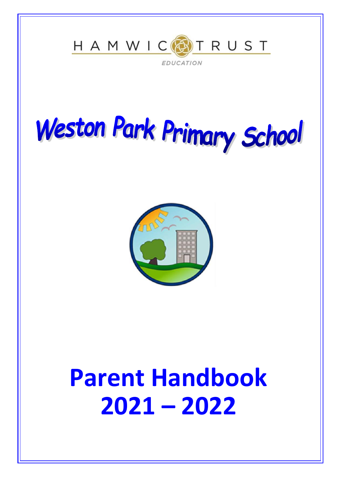

# Weston Park Primary School



# **Parent Handbook 2021 – 2022**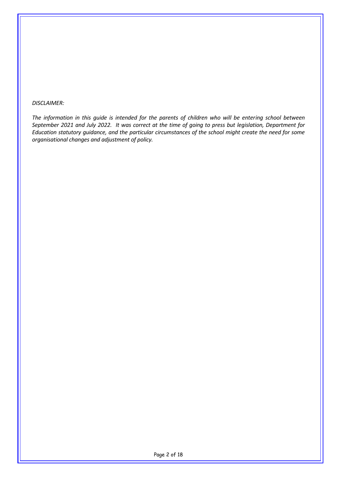#### *DISCLAIMER:*

*The information in this guide is intended for the parents of children who will be entering school between September 2021 and July 2022. It was correct at the time of going to press but legislation, Department for Education statutory guidance, and the particular circumstances of the school might create the need for some organisational changes and adjustment of policy.*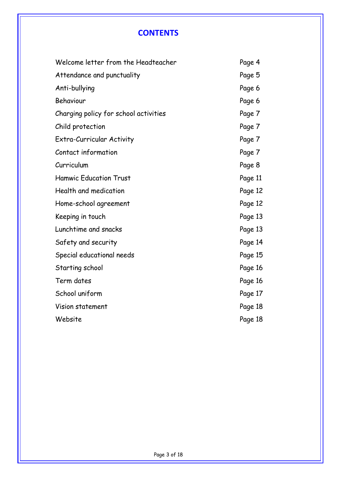# **CONTENTS**

| Welcome letter from the Headteacher   | Page 4  |
|---------------------------------------|---------|
| Attendance and punctuality            | Page 5  |
| Anti-bullying                         | Page 6  |
| Behaviour                             | Page 6  |
| Charging policy for school activities | Page 7  |
| Child protection                      | Page 7  |
| Extra-Curricular Activity             | Page 7  |
| Contact information                   | Page 7  |
| Curriculum                            | Page 8  |
| <b>Hamwic Education Trust</b>         | Page 11 |
| Health and medication                 | Page 12 |
| Home-school agreement                 | Page 12 |
| Keeping in touch                      | Page 13 |
| Lunchtime and snacks                  | Page 13 |
| Safety and security                   | Page 14 |
| Special educational needs             | Page 15 |
| Starting school                       | Page 16 |
| Term dates                            | Page 16 |
| School uniform                        | Page 17 |
| Vision statement                      | Page 18 |
| Website                               | Page 18 |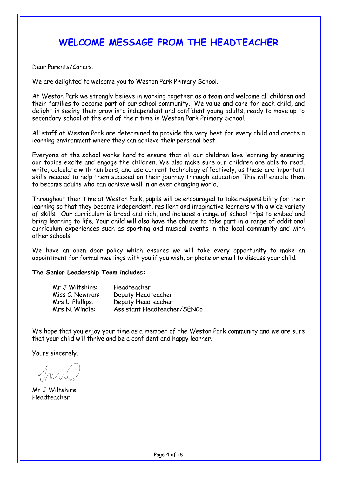# **WELCOME MESSAGE FROM THE HEADTEACHER**

Dear Parents/Carers.

We are delighted to welcome you to Weston Park Primary School.

At Weston Park we strongly believe in working together as a team and welcome all children and their families to become part of our school community. We value and care for each child, and delight in seeing them grow into independent and confident young adults, ready to move up to secondary school at the end of their time in Weston Park Primary School.

All staff at Weston Park are determined to provide the very best for every child and create a learning environment where they can achieve their personal best.

Everyone at the school works hard to ensure that all our children love learning by ensuring our topics excite and engage the children. We also make sure our children are able to read, write, calculate with numbers, and use current technology effectively, as these are important skills needed to help them succeed on their journey through education. This will enable them to become adults who can achieve well in an ever changing world.

Throughout their time at Weston Park, pupils will be encouraged to take responsibility for their learning so that they become independent, resilient and imaginative learners with a wide variety of skills. Our curriculum is broad and rich, and includes a range of school trips to embed and bring learning to life. Your child will also have the chance to take part in a range of additional curriculum experiences such as sporting and musical events in the local community and with other schools.

We have an open door policy which ensures we will take every opportunity to make an appointment for formal meetings with you if you wish, or phone or email to discuss your child.

#### **The Senior Leadership Team includes:**

| Mr J Wiltshire:  | Headteacher                 |
|------------------|-----------------------------|
| Miss C. Newman:  | Deputy Headteacher          |
| Mrs L. Phillips: | Deputy Headteacher          |
| Mrs N. Windle:   | Assistant Headteacher/SENCo |

We hope that you enjoy your time as a member of the Weston Park community and we are sure that your child will thrive and be a confident and happy learner.

Yours sincerely,

Mr J Wiltshire Headteacher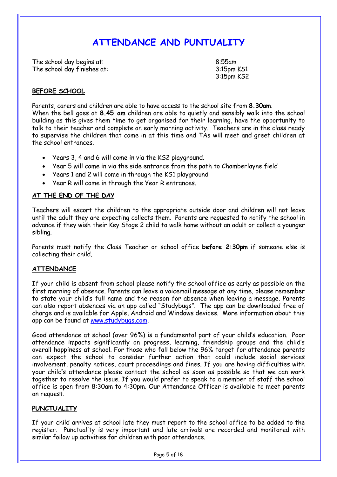# **ATTENDANCE AND PUNTUALITY**

The school day begins at: 8:55am The school day finishes at: 3:15pm KS1

3:15pm KS2

#### **BEFORE SCHOOL**

Parents, carers and children are able to have access to the school site from **8.30am**. When the bell goes at **8.45 am** children are able to quietly and sensibly walk into the school building as this gives them time to get organised for their learning, have the opportunity to talk to their teacher and complete an early morning activity. Teachers are in the class ready to supervise the children that come in at this time and TAs will meet and greet children at the school entrances.

- Years 3, 4 and 6 will come in via the KS2 playground.
- Year 5 will come in via the side entrance from the path to Chamberlayne field
- Years 1 and 2 will come in through the KS1 playground
- Year R will come in through the Year R entrances.

#### **AT THE END OF THE DAY**

Teachers will escort the children to the appropriate outside door and children will not leave until the adult they are expecting collects them. Parents are requested to notify the school in advance if they wish their Key Stage 2 child to walk home without an adult or collect a younger sibling.

Parents must notify the Class Teacher or school office **before 2:30pm** if someone else is collecting their child.

#### **ATTENDANCE**

If your child is absent from school please notify the school office as early as possible on the first morning of absence. Parents can leave a voicemail message at any time, please remember to state your child's full name and the reason for absence when leaving a message. Parents can also report absences via an app called "Studybugs". The app can be downloaded free of charge and is available for Apple, Android and Windows devices. More information about this app can be found at [www.studybugs.com.](http://www.studybugs.com/) 

Good attendance at school (over 96%) is a fundamental part of your child's education. Poor attendance impacts significantly on progress, learning, friendship groups and the child's overall happiness at school. For those who fall below the 96% target for attendance parents can expect the school to consider further action that could include social services involvement, penalty notices, court proceedings and fines. If you are having difficulties with your child's attendance please contact the school as soon as possible so that we can work together to resolve the issue. If you would prefer to speak to a member of staff the school office is open from 8:30am to 4:30pm. Our Attendance Officer is available to meet parents on request.

#### **PUNCTUALITY**

If your child arrives at school late they must report to the school office to be added to the register. Punctuality is very important and late arrivals are recorded and monitored with similar follow up activities for children with poor attendance.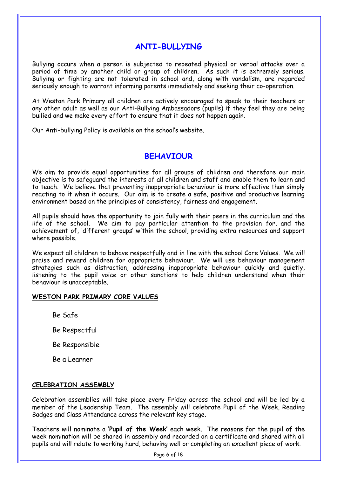# **ANTI-BULLYING**

Bullying occurs when a person is subjected to repeated physical or verbal attacks over a period of time by another child or group of children. As such it is extremely serious. Bullying or fighting are not tolerated in school and, along with vandalism, are regarded seriously enough to warrant informing parents immediately and seeking their co-operation.

At Weston Park Primary all children are actively encouraged to speak to their teachers or any other adult as well as our Anti-Bullying Ambassadors (pupils) if they feel they are being bullied and we make every effort to ensure that it does not happen again.

Our Anti-bullying Policy is available on the school's website.

### **BEHAVIOUR**

We aim to provide equal opportunities for all groups of children and therefore our main objective is to safeguard the interests of all children and staff and enable them to learn and to teach. We believe that preventing inappropriate behaviour is more effective than simply reacting to it when it occurs. Our aim is to create a safe, positive and productive learning environment based on the principles of consistency, fairness and engagement.

All pupils should have the opportunity to join fully with their peers in the curriculum and the life of the school. We aim to pay particular attention to the provision for, and the achievement of, 'different groups' within the school, providing extra resources and support where possible.

We expect all children to behave respectfully and in line with the school Core Values. We will praise and reward children for appropriate behaviour. We will use behaviour management strategies such as distraction, addressing inappropriate behaviour quickly and quietly, listening to the pupil voice or other sanctions to help children understand when their behaviour is unacceptable.

#### **WESTON PARK PRIMARY CORE VALUES**

Be Safe

Be Respectful

Be Responsible

Be a Learner

#### **CELEBRATION ASSEMBLY**

Celebration assemblies will take place every Friday across the school and will be led by a member of the Leadership Team. The assembly will celebrate Pupil of the Week, Reading Badges and Class Attendance across the relevant key stage.

Teachers will nominate a '**Pupil of the Week'** each week. The reasons for the pupil of the week nomination will be shared in assembly and recorded on a certificate and shared with all pupils and will relate to working hard, behaving well or completing an excellent piece of work.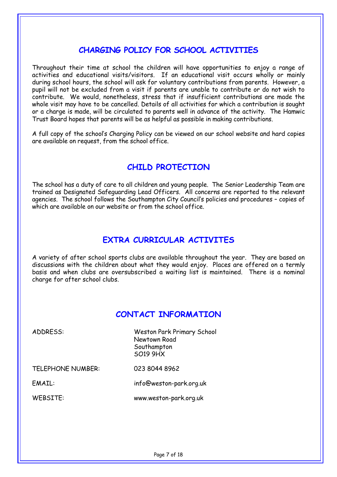# **CHARGING POLICY FOR SCHOOL ACTIVITIES**

Throughout their time at school the children will have opportunities to enjoy a range of activities and educational visits/visitors. If an educational visit occurs wholly or mainly during school hours, the school will ask for voluntary contributions from parents. However, a pupil will not be excluded from a visit if parents are unable to contribute or do not wish to contribute. We would, nonetheless, stress that if insufficient contributions are made the whole visit may have to be cancelled. Details of all activities for which a contribution is sought or a charge is made, will be circulated to parents well in advance of the activity. The Hamwic Trust Board hopes that parents will be as helpful as possible in making contributions.

A full copy of the school's Charging Policy can be viewed on our school website and hard copies are available on request, from the school office.

# **CHILD PROTECTION**

The school has a duty of care to all children and young people. The Senior Leadership Team are trained as Designated Safeguarding Lead Officers. All concerns are reported to the relevant agencies. The school follows the Southampton City Council's policies and procedures – copies of which are available on our website or from the school office.

# **EXTRA CURRICULAR ACTIVITES**

A variety of after school sports clubs are available throughout the year. They are based on discussions with the children about what they would enjoy. Places are offered on a termly basis and when clubs are oversubscribed a waiting list is maintained. There is a nominal charge for after school clubs.

# **CONTACT INFORMATION**

| ADDRESS:                 | <b>Weston Park Primary School</b><br>Newtown Road<br>Southampton<br><b>SO19 9HX</b> |
|--------------------------|-------------------------------------------------------------------------------------|
| <b>TELEPHONE NUMBER:</b> | 023 8044 8962                                                                       |
| EMAIL:                   | info@weston-park.org.uk                                                             |
| WEBSITE:                 | www.weston-park.org.uk                                                              |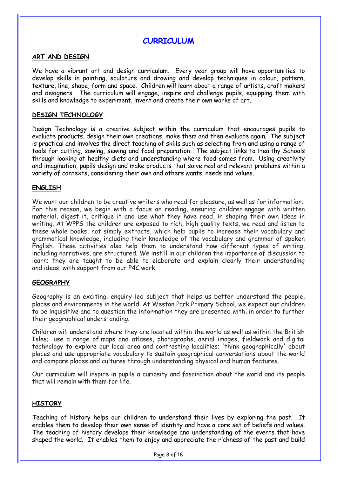## **CURRICULUM**

#### **ART AND DESIGN**

We have a vibrant art and design curriculum. Every year group will have opportunities to develop skills in painting, sculpture and drawing and develop techniques in colour, pattern, texture, line, shape, form and space. Children will learn about a range of artists, craft makers and designers. The curriculum will engage, inspire and challenge pupils, equipping them with skills and knowledge to experiment, invent and create their own works of art.

#### **DESIGN TECHNOLOGY**

Design Technology is a creative subject within the curriculum that encourages pupils to evaluate products, design their own creations, make them and then evaluate again. The subject is practical and involves the direct teaching of skills such as selecting from and using a range of tools for cutting, sawing, sewing and food preparation. The subject links to Healthy Schools through looking at healthy diets and understanding where food comes from. Using creativity and imagination, pupils design and make products that solve real and relevant problems within a variety of contexts, considering their own and others wants, needs and values.

#### **ENGLISH**

We want our children to be creative writers who read for pleasure, as well as for information. For this reason, we begin with a focus on reading, ensuring children engage with written material, digest it, critique it and use what they have read, in shaping their own ideas in writing. At WPPS the children are exposed to rich, high quality texts, we read and listen to these whole books, not simply extracts, which help pupils to increase their vocabulary and grammatical knowledge, including their knowledge of the vocabulary and grammar of spoken English. These activities also help them to understand how different types of writing, including narratives, are structured. We instill in our children the importance of discussion to learn; they are taught to be able to elaborate and explain clearly their understanding and ideas, with support from our P4C work.

#### **GEOGRAPHY**

Geography is an exciting, enquiry led subject that helps us better understand the people, places and environments in the world. At Weston Park Primary School, we expect our children to be inquisitive and to question the information they are presented with, in order to further their geographical understanding.

Children will understand where they are located within the world as well as within the British Isles; use a range of maps and atlases, photographs, aerial images, fieldwork and digital technology to explore our local area and contrasting localities; 'think geographically' about places and use appropriate vocabulary to sustain geographical conversations about the world and compare places and cultures through understanding physical and human features.

Our curriculum will inspire in pupils a curiosity and fascination about the world and its people that will remain with them for life.

#### **HISTORY**

Teaching of history helps our children to understand their lives by exploring the past. It enables them to develop their own sense of identity and have a core set of beliefs and values. The teaching of history develops their knowledge and understanding of the events that have shaped the world. It enables them to enjoy and appreciate the richness of the past and build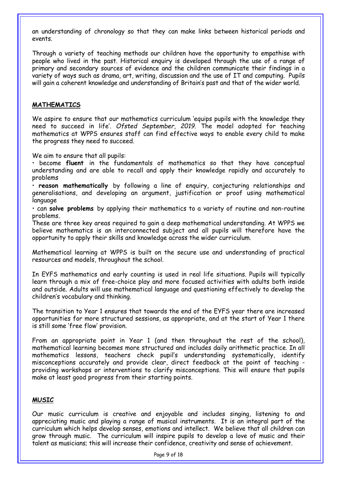an understanding of chronology so that they can make links between historical periods and events.

Through a variety of teaching methods our children have the opportunity to empathise with people who lived in the past. Historical enquiry is developed through the use of a range of primary and secondary sources of evidence and the children communicate their findings in a variety of ways such as drama, art, writing, discussion and the use of IT and computing. Pupils will gain a coherent knowledge and understanding of Britain's past and that of the wider world.

#### **MATHEMATICS**

We aspire to ensure that our mathematics curriculum 'equips pupils with the knowledge they need to succeed in life'. *Ofsted September, 2019.* The model adopted for teaching mathematics at WPPS ensures staff can find effective ways to enable every child to make the progress they need to succeed.

We aim to ensure that all pupils:

• become **fluent** in the fundamentals of mathematics so that they have conceptual understanding and are able to recall and apply their knowledge rapidly and accurately to problems

• **reason mathematically** by following a line of enquiry, conjecturing relationships and generalisations, and developing an argument, justification or proof using mathematical language

• can **solve problems** by applying their mathematics to a variety of routine and non-routine problems.

These are three key areas required to gain a deep mathematical understanding. At WPPS we believe mathematics is an interconnected subject and all pupils will therefore have the opportunity to apply their skills and knowledge across the wider curriculum.

Mathematical learning at WPPS is built on the secure use and understanding of practical resources and models, throughout the school.

In EYFS mathematics and early counting is used in real life situations. Pupils will typically learn through a mix of free-choice play and more focused activities with adults both inside and outside. Adults will use mathematical language and questioning effectively to develop the children's vocabulary and thinking.

The transition to Year 1 ensures that towards the end of the EYFS year there are increased opportunities for more structured sessions, as appropriate, and at the start of Year 1 there is still some 'free flow' provision.

From an appropriate point in Year 1 (and then throughout the rest of the school), mathematical learning becomes more structured and includes daily arithmetic practice. In all mathematics lessons, teachers check pupil's understanding systematically, identify misconceptions accurately and provide clear, direct feedback at the point of teaching providing workshops or interventions to clarify misconceptions. This will ensure that pupils make at least good progress from their starting points.

#### **MUSIC**

Our music curriculum is creative and enjoyable and includes singing, listening to and appreciating music and playing a range of musical instruments. It is an integral part of the curriculum which helps develop senses, emotions and intellect. We believe that all children can grow through music. The curriculum will inspire pupils to develop a love of music and their talent as musicians; this will increase their confidence, creativity and sense of achievement.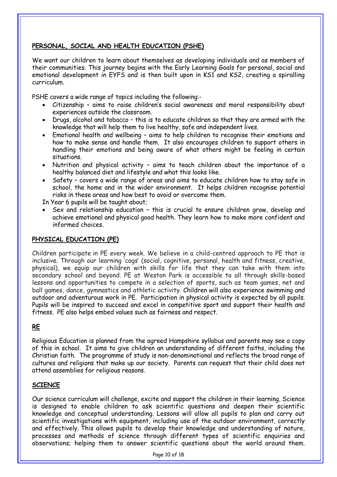#### **PERSONAL, SOCIAL AND HEALTH EDUCATION (PSHE)**

We want our children to learn about themselves as developing individuals and as members of their communities. This journey begins with the Early Learning Goals for personal, social and emotional development in EYFS and is then built upon in KS1 and KS2, creating a spiralling curriculum.

PSHE covers a wide range of topics including the following:-

- Citizenship aims to raise children's social awareness and moral responsibility about experiences outside the classroom.
- Drugs, alcohol and tobacco this is to educate children so that they are armed with the knowledge that will help them to live healthy, safe and independent lives.
- Emotional health and wellbeing aims to help children to recognise their emotions and how to make sense and handle them. It also encourages children to support others in handling their emotions and being aware of what others might be feeling in certain situations.
- Nutrition and physical activity aims to teach children about the importance of a healthy balanced diet and lifestyle and what this looks like.
- Safety covers a wide range of areas and aims to educate children how to stay safe in school, the home and in the wider environment. It helps children recognise potential risks in these areas and how best to avoid or overcome them.

In Year 6 pupils will be taught about;

 Sex and relationship education – this is crucial to ensure children grow, develop and achieve emotional and physical good health. They learn how to make more confident and informed choices.

#### **PHYSICAL EDUCATION (PE)**

Children participate in PE every week. We believe in a child-centred approach to PE that is inclusive. Through our learning 'cogs' (social, cognitive, personal, health and fitness, creative, physical), we equip our children with skills for life that they can take with them into secondary school and beyond. PE at Weston Park is accessible to all through skills-based lessons and opportunities to compete in a selection of sports, such as team games, net and ball games, dance, gymnastics and athletic activity. Children will also experience swimming and outdoor and adventurous work in PE. Participation in physical activity is expected by all pupils. Pupils will be inspired to succeed and excel in competitive sport and support their health and fitness. PE also helps embed values such as fairness and respect.

#### **RE**

Religious Education is planned from the agreed Hampshire syllabus and parents may see a copy of this in school. It aims to give children an understanding of different faiths, including the Christian faith. The programme of study is non-denominational and reflects the broad range of cultures and religions that make up our society. Parents can request that their child does not attend assemblies for religious reasons.

#### **SCIENCE**

Our science curriculum will challenge, excite and support the children in their learning. Science is designed to enable children to ask scientific questions and deepen their scientific knowledge and conceptual understanding. Lessons will allow all pupils to plan and carry out scientific investigations with equipment, including use of the outdoor environment, correctly and effectively. This allows pupils to develop their knowledge and understanding of nature, processes and methods of science through different types of scientific enquiries and observations; helping them to answer scientific questions about the world around them.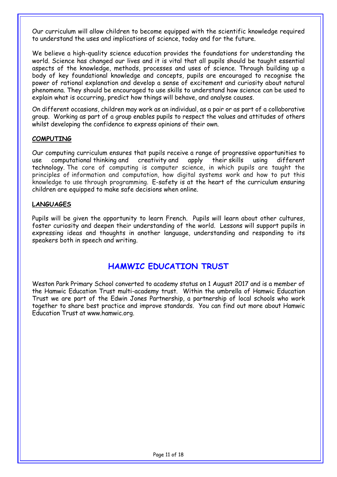Our curriculum will allow children to become equipped with the scientific knowledge required to understand the uses and implications of science, today and for the future.

We believe a high-quality science education provides the foundations for understanding the world. Science has changed our lives and it is vital that all pupils should be taught essential aspects of the knowledge, methods, processes and uses of science. Through building up a body of key foundational knowledge and concepts, pupils are encouraged to recognise the power of rational explanation and develop a sense of excitement and curiosity about natural phenomena. They should be encouraged to use skills to understand how science can be used to explain what is occurring, predict how things will behave, and analyse causes.

On different occasions, children may work as an individual, as a pair or as part of a collaborative group. Working as part of a group enables pupils to respect the values and attitudes of others whilst developing the confidence to express opinions of their own.

#### **COMPUTING**

Our computing curriculum ensures that pupils receive a range of progressive opportunities to use computational thinking and creativity and apply their skills using different technology. The core of computing is computer science, in which pupils are taught the principles of information and computation, how digital systems work and how to put this knowledge to use through programming. E-safety is at the heart of the curriculum ensuring children are equipped to make safe decisions when online.

#### **LANGUAGES**

Pupils will be given the opportunity to learn French. Pupils will learn about other cultures, foster curiosity and deepen their understanding of the world. Lessons will support pupils in expressing ideas and thoughts in another language, understanding and responding to its speakers both in speech and writing.

# **HAMWIC EDUCATION TRUST**

Weston Park Primary School converted to academy status on 1 August 2017 and is a member of the Hamwic Education Trust multi-academy trust. Within the umbrella of Hamwic Education Trust we are part of the Edwin Jones Partnership, a partnership of local schools who work together to share best practice and improve standards. You can find out more about Hamwic Education Trust at www.hamwic.org.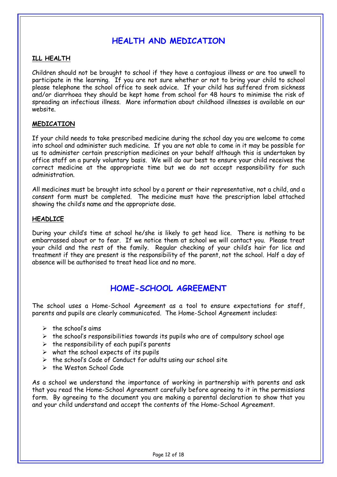# **HEALTH AND MEDICATION**

#### **ILL HEALTH**

Children should not be brought to school if they have a contagious illness or are too unwell to participate in the learning. If you are not sure whether or not to bring your child to school please telephone the school office to seek advice. If your child has suffered from sickness and/or diarrhoea they should be kept home from school for 48 hours to minimise the risk of spreading an infectious illness. More information about childhood illnesses is available on our website.

#### **MEDICATION**

If your child needs to take prescribed medicine during the school day you are welcome to come into school and administer such medicine. If you are not able to come in it may be possible for us to administer certain prescription medicines on your behalf although this is undertaken by office staff on a purely voluntary basis. We will do our best to ensure your child receives the correct medicine at the appropriate time but we do not accept responsibility for such administration.

All medicines must be brought into school by a parent or their representative, not a child, and a consent form must be completed. The medicine must have the prescription label attached showing the child's name and the appropriate dose.

#### **HEADLICE**

During your child's time at school he/she is likely to get head lice. There is nothing to be embarrassed about or to fear. If we notice them at school we will contact you. Please treat your child and the rest of the family. Regular checking of your child's hair for lice and treatment if they are present is the responsibility of the parent, not the school. Half a day of absence will be authorised to treat head lice and no more.

# **HOME-SCHOOL AGREEMENT**

The school uses a Home-School Agreement as a tool to ensure expectations for staff, parents and pupils are clearly communicated. The Home-School Agreement includes:

- $\triangleright$  the school's aims
- $\triangleright$  the school's responsibilities towards its pupils who are of compulsory school age
- $\triangleright$  the responsibility of each pupil's parents
- $\triangleright$  what the school expects of its pupils
- $\triangleright$  the school's Code of Conduct for adults using our school site
- $\triangleright$  the Weston School Code

As a school we understand the importance of working in partnership with parents and ask that you read the Home-School Agreement carefully before agreeing to it in the permissions form. By agreeing to the document you are making a parental declaration to show that you and your child understand and accept the contents of the Home-School Agreement.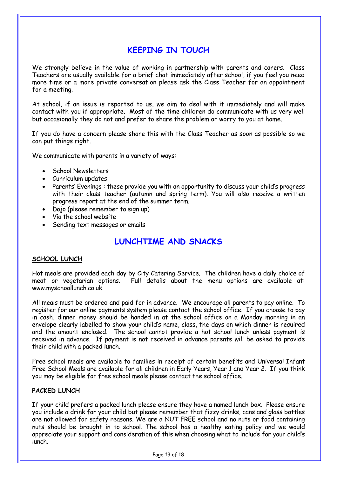# **KEEPING IN TOUCH**

We strongly believe in the value of working in partnership with parents and carers. Class Teachers are usually available for a brief chat immediately after school, if you feel you need more time or a more private conversation please ask the Class Teacher for an appointment for a meeting.

At school, if an issue is reported to us, we aim to deal with it immediately and will make contact with you if appropriate. Most of the time children do communicate with us very well but occasionally they do not and prefer to share the problem or worry to you at home.

If you do have a concern please share this with the Class Teacher as soon as possible so we can put things right.

We communicate with parents in a variety of ways:

- **School Newsletters**
- Curriculum updates
- Parents' Evenings : these provide you with an opportunity to discuss your child's progress with their class teacher (autumn and spring term). You will also receive a written progress report at the end of the summer term.
- Dojo (please remember to sign up)
- Via the school website
- Sending text messages or emails

# **LUNCHTIME AND SNACKS**

#### **SCHOOL LUNCH**

Hot meals are provided each day by City Catering Service. The children have a daily choice of meat or vegetarian options. Full details about the menu options are available at: www.myschoollunch.co.uk.

All meals must be ordered and paid for in advance. We encourage all parents to pay online. To register for our online payments system please contact the school office. If you choose to pay in cash, dinner money should be handed in at the school office on a Monday morning in an envelope clearly labelled to show your child's name, class, the days on which dinner is required and the amount enclosed. The school cannot provide a hot school lunch unless payment is received in advance. If payment is not received in advance parents will be asked to provide their child with a packed lunch.

Free school meals are available to families in receipt of certain benefits and Universal Infant Free School Meals are available for all children in Early Years, Year 1 and Year 2. If you think you may be eligible for free school meals please contact the school office.

#### **PACKED LUNCH**

If your child prefers a packed lunch please ensure they have a named lunch box. Please ensure you include a drink for your child but please remember that fizzy drinks, cans and glass bottles are not allowed for safety reasons. We are a NUT FREE school and no nuts or food containing nuts should be brought in to school. The school has a healthy eating policy and we would appreciate your support and consideration of this when choosing what to include for your child's lunch.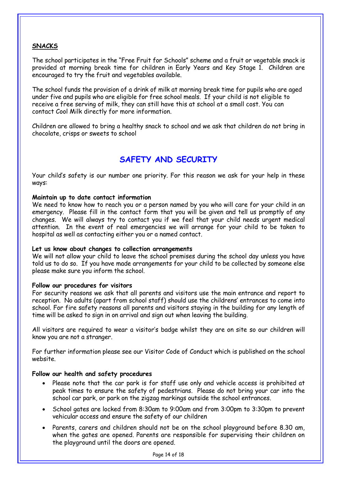#### **SNACKS**

The school participates in the "Free Fruit for Schools" scheme and a fruit or vegetable snack is provided at morning break time for children in Early Years and Key Stage 1. Children are encouraged to try the fruit and vegetables available.

The school funds the provision of a drink of milk at morning break time for pupils who are aged under five and pupils who are eligible for free school meals. If your child is not eligible to receive a free serving of milk, they can still have this at school at a small cost. You can contact Cool Milk directly for more information.

Children are allowed to bring a healthy snack to school and we ask that children do not bring in chocolate, crisps or sweets to school

# **SAFETY AND SECURITY**

Your child's safety is our number one priority. For this reason we ask for your help in these ways:

#### **Maintain up to date contact information**

We need to know how to reach you or a person named by you who will care for your child in an emergency. Please fill in the contact form that you will be given and tell us promptly of any changes. We will always try to contact you if we feel that your child needs urgent medical attention. In the event of real emergencies we will arrange for your child to be taken to hospital as well as contacting either you or a named contact.

#### **Let us know about changes to collection arrangements**

We will not allow your child to leave the school premises during the school day unless you have told us to do so. If you have made arrangements for your child to be collected by someone else please make sure you inform the school.

#### **Follow our procedures for visitors**

For security reasons we ask that all parents and visitors use the main entrance and report to reception. No adults (apart from school staff) should use the childrens' entrances to come into school. For fire safety reasons all parents and visitors staying in the building for any length of time will be asked to sign in on arrival and sign out when leaving the building.

All visitors are required to wear a visitor's badge whilst they are on site so our children will know you are not a stranger.

For further information please see our Visitor Code of Conduct which is published on the school website.

#### **Follow our health and safety procedures**

- Please note that the car park is for staff use only and vehicle access is prohibited at peak times to ensure the safety of pedestrians. Please do not bring your car into the school car park, or park on the zigzag markings outside the school entrances.
- School gates are locked from 8:30am to 9:00am and from 3:00pm to 3:30pm to prevent vehicular access and ensure the safety of our children
- Parents, carers and children should not be on the school playground before 8.30 am, when the gates are opened. Parents are responsible for supervising their children on the playground until the doors are opened.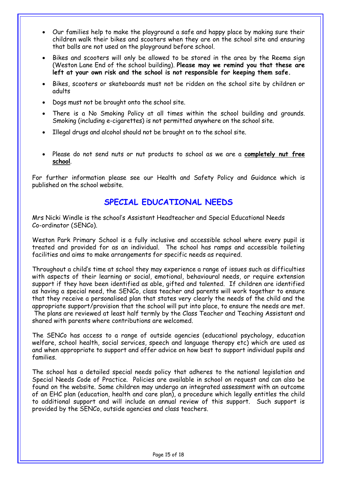- Our families help to make the playground a safe and happy place by making sure their children walk their bikes and scooters when they are on the school site and ensuring that balls are not used on the playground before school.
- Bikes and scooters will only be allowed to be stored in the area by the Reema sign (Weston Lane End of the school building). **Please may we remind you that these are left at your own risk and the school is not responsible for keeping them safe.**
- Bikes, scooters or skateboards must not be ridden on the school site by children or adults
- Dogs must not be brought onto the school site.
- There is a No Smoking Policy at all times within the school building and grounds. Smoking (including e-cigarettes) is not permitted anywhere on the school site.
- Illegal drugs and alcohol should not be brought on to the school site.
- Please do not send nuts or nut products to school as we are a **completely nut free school**.

For further information please see our Health and Safety Policy and Guidance which is published on the school website.

# **SPECIAL EDUCATIONAL NEEDS**

Mrs Nicki Windle is the school's Assistant Headteacher and Special Educational Needs Co-ordinator (SENCo).

Weston Park Primary School is a fully inclusive and accessible school where every pupil is treated and provided for as an individual. The school has ramps and accessible toileting facilities and aims to make arrangements for specific needs as required.

Throughout a child's time at school they may experience a range of issues such as difficulties with aspects of their learning or social, emotional, behavioural needs, or require extension support if they have been identified as able, gifted and talented. If children are identified as having a special need, the SENCo, class teacher and parents will work together to ensure that they receive a personalised plan that states very clearly the needs of the child and the appropriate support/provision that the school will put into place, to ensure the needs are met. The plans are reviewed at least half termly by the Class Teacher and Teaching Assistant and shared with parents where contributions are welcomed.

The SENCo has access to a range of outside agencies (educational psychology, education welfare, school health, social services, speech and language therapy etc) which are used as and when appropriate to support and offer advice on how best to support individual pupils and families.

The school has a detailed special needs policy that adheres to the national legislation and Special Needs Code of Practice. Policies are available in school on request and can also be found on the website. Some children may undergo an integrated assessment with an outcome of an EHC plan (education, health and care plan), a procedure which legally entitles the child to additional support and will include an annual review of this support. Such support is provided by the SENCo, outside agencies and class teachers.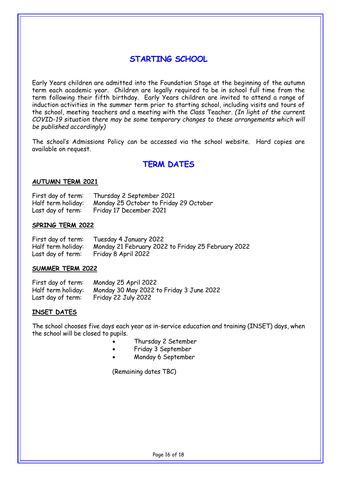# **STARTING SCHOOL**

Early Years children are admitted into the Foundation Stage at the beginning of the autumn term each academic year. Children are legally required to be in school full time from the term following their fifth birthday. Early Years children are invited to attend a range of induction activities in the summer term prior to starting school, including visits and tours of the school, meeting teachers and a meeting with the Class Teacher. *(In light of the current COVID-19 situation there may be some temporary changes to these arrangements which will be published accordingly)*

The school's Admissions Policy can be accessed via the school website. Hard copies are available on request.

# **TERM DATES**

#### **AUTUMN TERM 2021**

| First day of term: | Thursday 2 September 2021              |
|--------------------|----------------------------------------|
| Half term holiday: | Monday 25 October to Friday 29 October |
| Last day of term:  | Friday 17 December 2021                |

#### **SPRING TERM 2022**

| First day of term: | Tuesday 4 January 2022                             |
|--------------------|----------------------------------------------------|
| Half term holiday: | Monday 21 February 2022 to Friday 25 February 2022 |
| Last day of term:  | Friday 8 April 2022                                |

#### **SUMMER TERM 2022**

| First day of term: | Monday 25 April 2022                     |
|--------------------|------------------------------------------|
| Half term holiday: | Monday 30 May 2022 to Friday 3 June 2022 |
| Last day of term:  | Friday 22 July 2022                      |

#### **INSET DATES**

The school chooses five days each year as in-service education and training (INSET) days, when the school will be closed to pupils.

- Thursday 2 Setember
- Friday 3 September
- Monday 6 September

(Remaining dates TBC)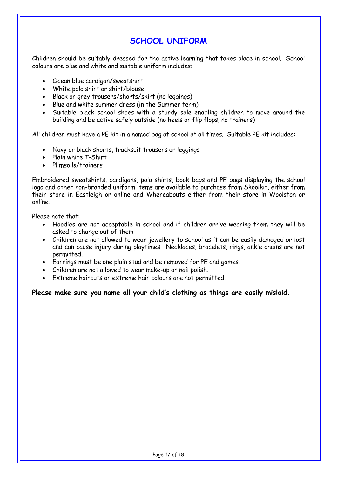# **SCHOOL UNIFORM**

Children should be suitably dressed for the active learning that takes place in school. School colours are blue and white and suitable uniform includes:

- Ocean blue cardigan/sweatshirt
- White polo shirt or shirt/blouse
- Black or grey trousers/shorts/skirt (no leggings)
- Blue and white summer dress (in the Summer term)
- Suitable black school shoes with a sturdy sole enabling children to move around the building and be active safely outside (no heels or flip flops, no trainers)

All children must have a PE kit in a named bag at school at all times. Suitable PE kit includes:

- Navy or black shorts, tracksuit trousers or leggings
- Plain white T-Shirt
- Plimsolls/trainers

Embroidered sweatshirts, cardigans, polo shirts, book bags and PE bags displaying the school logo and other non-branded uniform items are available to purchase from Skoolkit, either from their store in Eastleigh or online and Whereabouts either from their store in Woolston or online.

Please note that:

- Hoodies are not acceptable in school and if children arrive wearing them they will be asked to change out of them
- Children are not allowed to wear jewellery to school as it can be easily damaged or lost and can cause injury during playtimes. Necklaces, bracelets, rings, ankle chains are not permitted.
- Earrings must be one plain stud and be removed for PE and games.
- Children are not allowed to wear make-up or nail polish.
- Extreme haircuts or extreme hair colours are not permitted.

#### **Please make sure you name all your child's clothing as things are easily mislaid.**